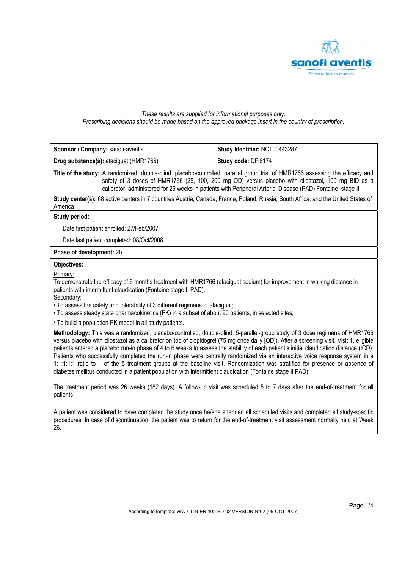

### *These results are supplied for informational purposes only. Prescribing decisions should be made based on the approved package insert in the country of prescription.*

| Sponsor / Company: sanofi-aventis                                                                                                                                                                                                                                                                                                                                                                                                                                                                                                                                                                                                                                                                                                                                                                | Study Identifier: NCT00443287 |
|--------------------------------------------------------------------------------------------------------------------------------------------------------------------------------------------------------------------------------------------------------------------------------------------------------------------------------------------------------------------------------------------------------------------------------------------------------------------------------------------------------------------------------------------------------------------------------------------------------------------------------------------------------------------------------------------------------------------------------------------------------------------------------------------------|-------------------------------|
| Drug substance(s): ataciguat (HMR1766)                                                                                                                                                                                                                                                                                                                                                                                                                                                                                                                                                                                                                                                                                                                                                           | Study code: DFI6174           |
| Title of the study: A randomized, double-blind, placebo-controlled, parallel group trial of HMR1766 assessing the efficacy and<br>safety of 3 doses of HMR1766 (25, 100, 200 mg OD) versus placebo with cilostazol, 100 mg BID as a<br>calibrator, administered for 26 weeks in patients with Peripheral Arterial Disease (PAD) Fontaine stage II                                                                                                                                                                                                                                                                                                                                                                                                                                                |                               |
| Study center(s): 68 active centers in 7 countries Austria, Canada, France, Poland, Russia, South Africa, and the United States of<br>America                                                                                                                                                                                                                                                                                                                                                                                                                                                                                                                                                                                                                                                     |                               |
| Study period:                                                                                                                                                                                                                                                                                                                                                                                                                                                                                                                                                                                                                                                                                                                                                                                    |                               |
| Date first patient enrolled: 27/Feb/2007                                                                                                                                                                                                                                                                                                                                                                                                                                                                                                                                                                                                                                                                                                                                                         |                               |
| Date last patient completed: 08/Oct/2008                                                                                                                                                                                                                                                                                                                                                                                                                                                                                                                                                                                                                                                                                                                                                         |                               |
| Phase of development: 2b                                                                                                                                                                                                                                                                                                                                                                                                                                                                                                                                                                                                                                                                                                                                                                         |                               |
| Objectives:                                                                                                                                                                                                                                                                                                                                                                                                                                                                                                                                                                                                                                                                                                                                                                                      |                               |
| Primary:<br>To demonstrate the efficacy of 6 months treatment with HMR1766 (ataciguat sodium) for improvement in walking distance in<br>patients with intermittent claudication (Fontaine stage II PAD).<br>Secondary:<br>• To assess the safety and tolerability of 3 different regimens of ataciguat;<br>• To assess steady state pharmacokinetics (PK) in a subset of about 90 patients, in selected sites;<br>. To build a population PK model in all study patients.                                                                                                                                                                                                                                                                                                                        |                               |
| Methodology: This was a randomized, placebo-controlled, double-blind, 5-parallel-group study of 3 dose regimens of HMR1766<br>versus placebo with cilostazol as a calibrator on top of clopidogrel (75 mg once daily [OD]). After a screening visit, Visit 1, eligible<br>patients entered a placebo run-in phase of 4 to 6 weeks to assess the stability of each patient's initial claudication distance (ICD).<br>Patients who successfully completed the run-in phase were centrally randomized via an interactive voice response system in a<br>1:1:1:1:1 ratio to 1 of the 5 treatment groups at the baseline visit. Randomization was stratified for presence or absence of<br>diabetes mellitus conducted in a patient population with intermittent claudication (Fontaine stage II PAD). |                               |
| The treatment period was 26 weeks (182 days). A follow-up visit was scheduled 5 to 7 days after the end-of-treatment for all<br>patients.                                                                                                                                                                                                                                                                                                                                                                                                                                                                                                                                                                                                                                                        |                               |
| A patient was considered to have completed the study once he/she attended all scheduled visits and completed all study-specific<br>procedures. In case of discontinuation, the patient was to return for the end-of-treatment visit assessment normally held at Week                                                                                                                                                                                                                                                                                                                                                                                                                                                                                                                             |                               |

26.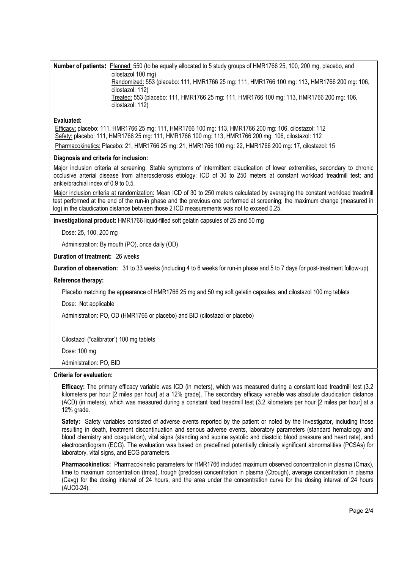**Number of patients:** Planned: 550 (to be equally allocated to 5 study groups of HMR1766 25, 100, 200 mg, placebo, and cilostazol 100 mg) Randomized: 553 (placebo: 111, HMR1766 25 mg: 111, HMR1766 100 mg: 113, HMR1766 200 mg: 106, cilostazol: 112) Treated: 553 (placebo: 111, HMR1766 25 mg: 111, HMR1766 100 mg: 113, HMR1766 200 mg: 106, cilostazol: 112)

# **Evaluated:**

Efficacy: placebo: 111, HMR1766 25 mg: 111, HMR1766 100 mg: 113, HMR1766 200 mg: 106, cilostazol: 112 Safety: placebo: 111, HMR1766 25 mg: 111, HMR1766 100 mg: 113, HMR1766 200 mg: 106, cilostazol: 112 Pharmacokinetics: Placebo: 21, HMR1766 25 mg: 21, HMR1766 100 mg: 22, HMR1766 200 mg: 17, cilostazol: 15

# **Diagnosis and criteria for inclusion:**

Major inclusion criteria at screening: Stable symptoms of intermittent claudication of lower extremities, secondary to chronic occlusive arterial disease from atherosclerosis etiology; ICD of 30 to 250 meters at constant workload treadmill test; and ankle/brachial index of 0.9 to 0.5.

Major inclusion criteria at randomization: Mean ICD of 30 to 250 meters calculated by averaging the constant workload treadmill test performed at the end of the run-in phase and the previous one performed at screening; the maximum change (measured in log) in the claudication distance between those 2 ICD measurements was not to exceed 0.25.

**Investigational product:** HMR1766 liquid-filled soft gelatin capsules of 25 and 50 mg

Dose: 25, 100, 200 mg

Administration: By mouth (PO), once daily (OD)

**Duration of treatment:** 26 weeks

**Duration of observation:** 31 to 33 weeks (including 4 to 6 weeks for run-in phase and 5 to 7 days for post-treatment follow-up).

## **Reference therapy:**

Placebo matching the appearance of HMR1766 25 mg and 50 mg soft gelatin capsules, and cilostazol 100 mg tablets

Dose: Not applicable

Administration: PO, OD (HMR1766 or placebo) and BID (cilostazol or placebo)

Cilostazol ("calibrator") 100 mg tablets

Dose: 100 mg

Administration: PO, BID

### **Criteria for evaluation:**

**Efficacy:** The primary efficacy variable was ICD (in meters), which was measured during a constant load treadmill test (3.2 kilometers per hour [2 miles per hour] at a 12% grade). The secondary efficacy variable was absolute claudication distance (ACD) (in meters), which was measured during a constant load treadmill test (3.2 kilometers per hour [2 miles per hour] at a 12% grade.

**Safety:** Safety variables consisted of adverse events reported by the patient or noted by the Investigator, including those resulting in death, treatment discontinuation and serious adverse events, laboratory parameters (standard hematology and blood chemistry and coagulation), vital signs (standing and supine systolic and diastolic blood pressure and heart rate), and electrocardiogram (ECG). The evaluation was based on predefined potentially clinically significant abnormalities (PCSAs) for laboratory, vital signs, and ECG parameters.

**Pharmacokinetics:** Pharmacokinetic parameters for HMR1766 included maximum observed concentration in plasma (Cmax), time to maximum concentration (tmax), trough (predose) concentration in plasma (Ctrough), average concentration in plasma (Cavg) for the dosing interval of 24 hours, and the area under the concentration curve for the dosing interval of 24 hours (AUC0-24).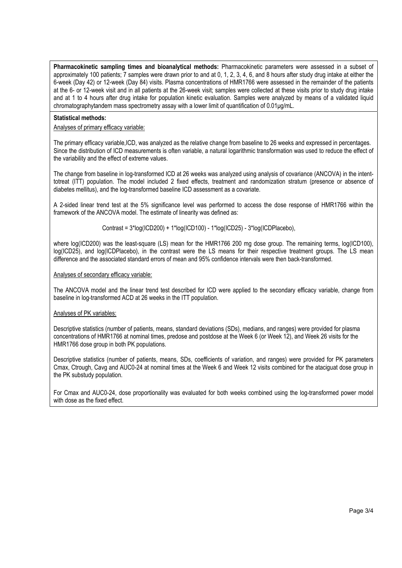**Pharmacokinetic sampling times and bioanalytical methods:** Pharmacokinetic parameters were assessed in a subset of approximately 100 patients; 7 samples were drawn prior to and at 0, 1, 2, 3, 4, 6, and 8 hours after study drug intake at either the 6-week (Day 42) or 12-week (Day 84) visits. Plasma concentrations of HMR1766 were assessed in the remainder of the patients at the 6- or 12-week visit and in all patients at the 26-week visit; samples were collected at these visits prior to study drug intake and at 1 to 4 hours after drug intake for population kinetic evaluation. Samples were analyzed by means of a validated liquid chromatographytandem mass spectrometry assay with a lower limit of quantification of 0.01μg/mL.

### **Statistical methods:**

## Analyses of primary efficacy variable:

The primary efficacy variable,ICD, was analyzed as the relative change from baseline to 26 weeks and expressed in percentages. Since the distribution of ICD measurements is often variable, a natural logarithmic transformation was used to reduce the effect of the variability and the effect of extreme values.

The change from baseline in log-transformed ICD at 26 weeks was analyzed using analysis of covariance (ANCOVA) in the intenttotreat (ITT) population. The model included 2 fixed effects, treatment and randomization stratum (presence or absence of diabetes mellitus), and the log-transformed baseline ICD assessment as a covariate.

A 2-sided linear trend test at the 5% significance level was performed to access the dose response of HMR1766 within the framework of the ANCOVA model. The estimate of linearity was defined as:

Contrast = 3\*log(ICD200) + 1\*log(ICD100) - 1\*log(ICD25) - 3\*log(ICDPlacebo),

where log(ICD200) was the least-square (LS) mean for the HMR1766 200 mg dose group. The remaining terms, log(ICD100), log(ICD25), and log(ICDPlacebo), in the contrast were the LS means for their respective treatment groups. The LS mean difference and the associated standard errors of mean and 95% confidence intervals were then back-transformed.

# Analyses of secondary efficacy variable:

The ANCOVA model and the linear trend test described for ICD were applied to the secondary efficacy variable, change from baseline in log-transformed ACD at 26 weeks in the ITT population.

### Analyses of PK variables:

Descriptive statistics (number of patients, means, standard deviations (SDs), medians, and ranges) were provided for plasma concentrations of HMR1766 at nominal times, predose and postdose at the Week 6 (or Week 12), and Week 26 visits for the HMR1766 dose group in both PK populations.

Descriptive statistics (number of patients, means, SDs, coefficients of variation, and ranges) were provided for PK parameters Cmax, Ctrough, Cavg and AUC0-24 at nominal times at the Week 6 and Week 12 visits combined for the ataciguat dose group in the PK substudy population.

For Cmax and AUC0-24, dose proportionality was evaluated for both weeks combined using the log-transformed power model with dose as the fixed effect.